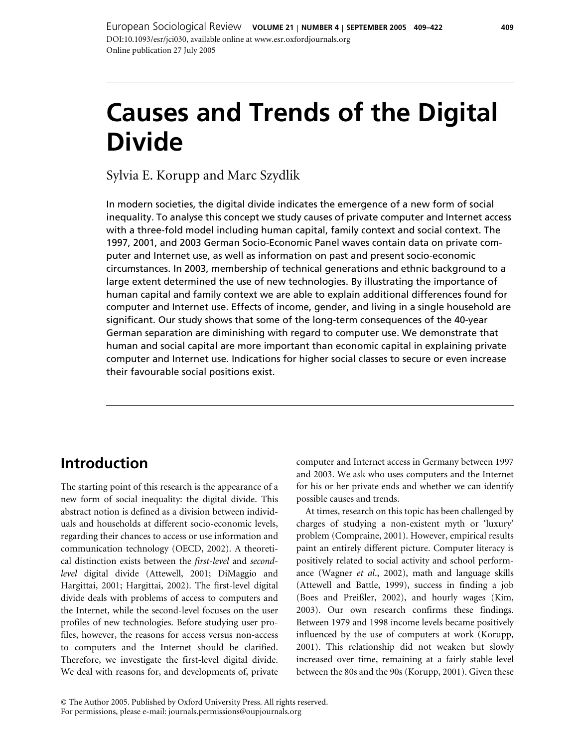# **Causes and Trends of the Digital Divide**

Sylvia E. Korupp and Marc Szydlik

In modern societies, the digital divide indicates the emergence of a new form of social inequality. To analyse this concept we study causes of private computer and Internet access with a three-fold model including human capital, family context and social context. The 1997, 2001, and 2003 German Socio-Economic Panel waves contain data on private computer and Internet use, as well as information on past and present socio-economic circumstances. In 2003, membership of technical generations and ethnic background to a large extent determined the use of new technologies. By illustrating the importance of human capital and family context we are able to explain additional differences found for computer and Internet use. Effects of income, gender, and living in a single household are significant. Our study shows that some of the long-term consequences of the 40-year German separation are diminishing with regard to computer use. We demonstrate that human and social capital are more important than economic capital in explaining private computer and Internet use. Indications for higher social classes to secure or even increase their favourable social positions exist.

# **Introduction**

The starting point of this research is the appearance of a new form of social inequality: the digital divide. This abstract notion is defined as a division between individuals and households at different socio-economic levels, regarding their chances to access or use information and communication technology (OECD, 2002). A theoretical distinction exists between the *first-level* and *secondlevel* digital divide (Attewell, 2001; DiMaggio and Hargittai, 2001; Hargittai, 2002). The first-level digital divide deals with problems of access to computers and the Internet, while the second-level focuses on the user profiles of new technologies. Before studying user profiles, however, the reasons for access versus non-access to computers and the Internet should be clarified. Therefore, we investigate the first-level digital divide. We deal with reasons for, and developments of, private computer and Internet access in Germany between 1997 and 2003. We ask who uses computers and the Internet for his or her private ends and whether we can identify possible causes and trends.

At times, research on this topic has been challenged by charges of studying a non-existent myth or 'luxury' problem (Compraine, 2001). However, empirical results paint an entirely different picture. Computer literacy is positively related to social activity and school performance (Wagner *et al*., 2002), math and language skills (Attewell and Battle, 1999), success in finding a job (Boes and Preißler, 2002), and hourly wages (Kim, 2003). Our own research confirms these findings. Between 1979 and 1998 income levels became positively influenced by the use of computers at work (Korupp, 2001). This relationship did not weaken but slowly increased over time, remaining at a fairly stable level between the 80s and the 90s (Korupp, 2001). Given these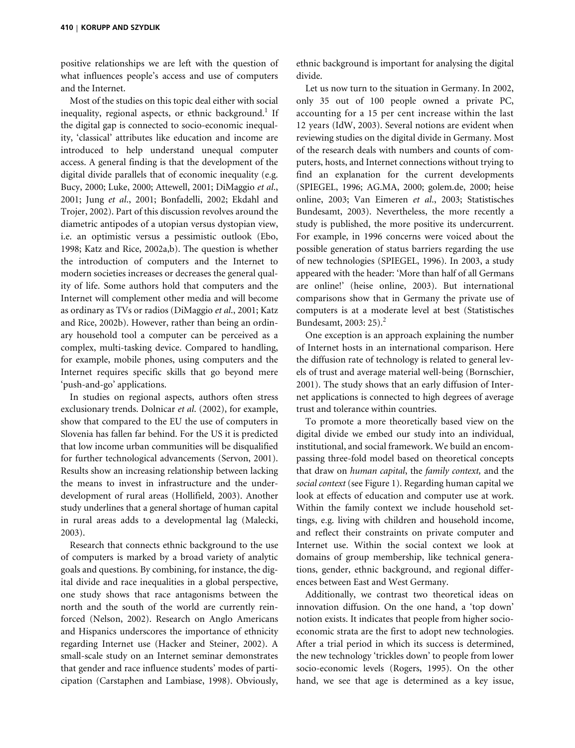positive relationships we are left with the question of what influences people's access and use of computers and the Internet.

Most of the studies on this topic deal either with social inequality, regional aspects, or ethnic background.<sup>1</sup> If the digital gap is connected to socio-economic inequality, 'classical' attributes like education and income are introduced to help understand unequal computer access. A general finding is that the development of the digital divide parallels that of economic inequality (e.g. Bucy, 2000; Luke, 2000; Attewell, 2001; DiMaggio *et al*., 2001; Jung *et al*., 2001; Bonfadelli, 2002; Ekdahl and Trojer, 2002). Part of this discussion revolves around the diametric antipodes of a utopian versus dystopian view, i.e. an optimistic versus a pessimistic outlook (Ebo, 1998; Katz and Rice, 2002a,b). The question is whether the introduction of computers and the Internet to modern societies increases or decreases the general quality of life. Some authors hold that computers and the Internet will complement other media and will become as ordinary as TVs or radios (DiMaggio *et al*., 2001; Katz and Rice, 2002b). However, rather than being an ordinary household tool a computer can be perceived as a complex, multi-tasking device. Compared to handling, for example, mobile phones, using computers and the Internet requires specific skills that go beyond mere 'push-and-go' applications.

In studies on regional aspects, authors often stress exclusionary trends. Dolnicar *et al*. (2002), for example, show that compared to the EU the use of computers in Slovenia has fallen far behind. For the US it is predicted that low income urban communities will be disqualified for further technological advancements (Servon, 2001). Results show an increasing relationship between lacking the means to invest in infrastructure and the underdevelopment of rural areas (Hollifield, 2003). Another study underlines that a general shortage of human capital in rural areas adds to a developmental lag (Malecki, 2003).

Research that connects ethnic background to the use of computers is marked by a broad variety of analytic goals and questions. By combining, for instance, the digital divide and race inequalities in a global perspective, one study shows that race antagonisms between the north and the south of the world are currently reinforced (Nelson, 2002). Research on Anglo Americans and Hispanics underscores the importance of ethnicity regarding Internet use (Hacker and Steiner, 2002). A small-scale study on an Internet seminar demonstrates that gender and race influence students' modes of participation (Carstaphen and Lambiase, 1998). Obviously, ethnic background is important for analysing the digital divide.

Let us now turn to the situation in Germany. In 2002, only 35 out of 100 people owned a private PC, accounting for a 15 per cent increase within the last 12 years (IdW, 2003). Several notions are evident when reviewing studies on the digital divide in Germany. Most of the research deals with numbers and counts of computers, hosts, and Internet connections without trying to find an explanation for the current developments (SPIEGEL, 1996; AG.MA, 2000; golem.de, 2000; heise online, 2003; Van Eimeren *et al*., 2003; Statistisches Bundesamt, 2003). Nevertheless, the more recently a study is published, the more positive its undercurrent. For example, in 1996 concerns were voiced about the possible generation of status barriers regarding the use of new technologies (SPIEGEL, 1996). In 2003, a study appeared with the header: 'More than half of all Germans are online!' (heise online, 2003). But international comparisons show that in Germany the private use of computers is at a moderate level at best (Statistisches Bundesamt, 2003: 25).2

One exception is an approach explaining the number of Internet hosts in an international comparison. Here the diffusion rate of technology is related to general levels of trust and average material well-being (Bornschier, 2001). The study shows that an early diffusion of Internet applications is connected to high degrees of average trust and tolerance within countries.

To promote a more theoretically based view on the digital divide we embed our study into an individual, institutional, and social framework. We build an encompassing three-fold model based on theoretical concepts that draw on *human capital*, the *family context,* and the *social context* (see Figure 1). Regarding human capital we look at effects of education and computer use at work. Within the family context we include household settings, e.g. living with children and household income, and reflect their constraints on private computer and Internet use. Within the social context we look at domains of group membership, like technical generations, gender, ethnic background, and regional differences between East and West Germany.

Additionally, we contrast two theoretical ideas on innovation diffusion. On the one hand, a 'top down' notion exists. It indicates that people from higher socioeconomic strata are the first to adopt new technologies. After a trial period in which its success is determined, the new technology 'trickles down' to people from lower socio-economic levels (Rogers, 1995). On the other hand, we see that age is determined as a key issue,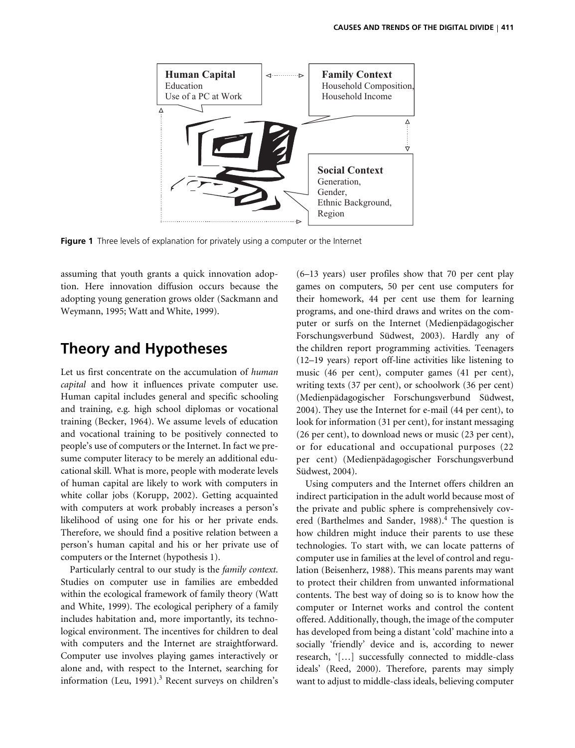

**Figure 1** Three levels of explanation for privately using a computer or the Internet

assuming that youth grants a quick innovation adoption. Here innovation diffusion occurs because the adopting young generation grows older (Sackmann and Weymann, 1995; Watt and White, 1999).

### **Theory and Hypotheses**

Let us first concentrate on the accumulation of *human capital* and how it influences private computer use. Human capital includes general and specific schooling and training, e.g. high school diplomas or vocational training (Becker, 1964). We assume levels of education and vocational training to be positively connected to people's use of computers or the Internet. In fact we presume computer literacy to be merely an additional educational skill. What is more, people with moderate levels of human capital are likely to work with computers in white collar jobs (Korupp, 2002). Getting acquainted with computers at work probably increases a person's likelihood of using one for his or her private ends. Therefore, we should find a positive relation between a person's human capital and his or her private use of computers or the Internet (hypothesis 1).

Particularly central to our study is the *family context*. Studies on computer use in families are embedded within the ecological framework of family theory (Watt and White, 1999). The ecological periphery of a family includes habitation and, more importantly, its technological environment. The incentives for children to deal with computers and the Internet are straightforward. Computer use involves playing games interactively or alone and, with respect to the Internet, searching for information (Leu, 1991).<sup>3</sup> Recent surveys on children's

(6–13 years) user profiles show that 70 per cent play games on computers, 50 per cent use computers for their homework, 44 per cent use them for learning programs, and one-third draws and writes on the computer or surfs on the Internet (Medienpädagogischer Forschungsverbund Südwest, 2003). Hardly any of the children report programming activities. Teenagers (12–19 years) report off-line activities like listening to music (46 per cent), computer games (41 per cent), writing texts (37 per cent), or schoolwork (36 per cent) (Medienpädagogischer Forschungsverbund Südwest, 2004). They use the Internet for e-mail (44 per cent), to look for information (31 per cent), for instant messaging (26 per cent), to download news or music (23 per cent), or for educational and occupational purposes (22 per cent) (Medienpädagogischer Forschungsverbund Südwest, 2004).

Using computers and the Internet offers children an indirect participation in the adult world because most of the private and public sphere is comprehensively covered (Barthelmes and Sander, 1988).<sup>4</sup> The question is how children might induce their parents to use these technologies. To start with, we can locate patterns of computer use in families at the level of control and regulation (Beisenherz, 1988). This means parents may want to protect their children from unwanted informational contents. The best way of doing so is to know how the computer or Internet works and control the content offered. Additionally, though, the image of the computer has developed from being a distant 'cold' machine into a socially 'friendly' device and is, according to newer research, '[…] successfully connected to middle-class ideals' (Reed, 2000). Therefore, parents may simply want to adjust to middle-class ideals, believing computer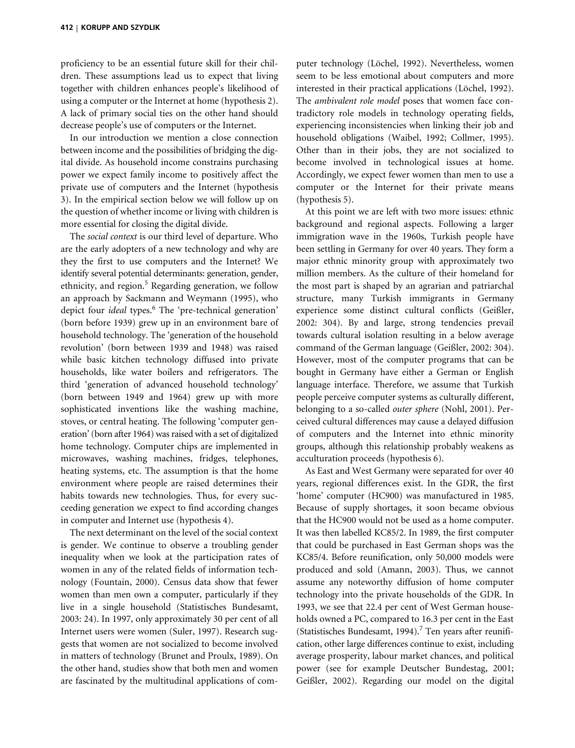proficiency to be an essential future skill for their children. These assumptions lead us to expect that living together with children enhances people's likelihood of using a computer or the Internet at home (hypothesis 2). A lack of primary social ties on the other hand should decrease people's use of computers or the Internet.

In our introduction we mention a close connection between income and the possibilities of bridging the digital divide. As household income constrains purchasing power we expect family income to positively affect the private use of computers and the Internet (hypothesis 3). In the empirical section below we will follow up on the question of whether income or living with children is more essential for closing the digital divide.

The *social context* is our third level of departure. Who are the early adopters of a new technology and why are they the first to use computers and the Internet? We identify several potential determinants: generation, gender, ethnicity, and region.<sup>5</sup> Regarding generation, we follow an approach by Sackmann and Weymann (1995), who depict four *ideal* types.<sup>6</sup> The 'pre-technical generation' (born before 1939) grew up in an environment bare of household technology. The 'generation of the household revolution' (born between 1939 and 1948) was raised while basic kitchen technology diffused into private households, like water boilers and refrigerators. The third 'generation of advanced household technology' (born between 1949 and 1964) grew up with more sophisticated inventions like the washing machine, stoves, or central heating. The following 'computer generation' (born after 1964) was raised with a set of digitalized home technology. Computer chips are implemented in microwaves, washing machines, fridges, telephones, heating systems, etc. The assumption is that the home environment where people are raised determines their habits towards new technologies. Thus, for every succeeding generation we expect to find according changes in computer and Internet use (hypothesis 4).

The next determinant on the level of the social context is gender. We continue to observe a troubling gender inequality when we look at the participation rates of women in any of the related fields of information technology (Fountain, 2000). Census data show that fewer women than men own a computer, particularly if they live in a single household (Statistisches Bundesamt, 2003: 24). In 1997, only approximately 30 per cent of all Internet users were women (Suler, 1997). Research suggests that women are not socialized to become involved in matters of technology (Brunet and Proulx, 1989). On the other hand, studies show that both men and women are fascinated by the multitudinal applications of computer technology (Löchel, 1992). Nevertheless, women seem to be less emotional about computers and more interested in their practical applications (Löchel, 1992). The *ambivalent role model* poses that women face contradictory role models in technology operating fields, experiencing inconsistencies when linking their job and household obligations (Waibel, 1992; Collmer, 1995). Other than in their jobs, they are not socialized to become involved in technological issues at home. Accordingly, we expect fewer women than men to use a computer or the Internet for their private means (hypothesis 5).

At this point we are left with two more issues: ethnic background and regional aspects. Following a larger immigration wave in the 1960s, Turkish people have been settling in Germany for over 40 years. They form a major ethnic minority group with approximately two million members. As the culture of their homeland for the most part is shaped by an agrarian and patriarchal structure, many Turkish immigrants in Germany experience some distinct cultural conflicts (Geißler, 2002: 304). By and large, strong tendencies prevail towards cultural isolation resulting in a below average command of the German language (Geißler, 2002: 304). However, most of the computer programs that can be bought in Germany have either a German or English language interface. Therefore, we assume that Turkish people perceive computer systems as culturally different, belonging to a so-called *outer sphere* (Nohl, 2001). Perceived cultural differences may cause a delayed diffusion of computers and the Internet into ethnic minority groups, although this relationship probably weakens as acculturation proceeds (hypothesis 6).

As East and West Germany were separated for over 40 years, regional differences exist. In the GDR, the first 'home' computer (HC900) was manufactured in 1985. Because of supply shortages, it soon became obvious that the HC900 would not be used as a home computer. It was then labelled KC85/2. In 1989, the first computer that could be purchased in East German shops was the KC85/4. Before reunification, only 50,000 models were produced and sold (Amann, 2003). Thus, we cannot assume any noteworthy diffusion of home computer technology into the private households of the GDR. In 1993, we see that 22.4 per cent of West German households owned a PC, compared to 16.3 per cent in the East (Statistisches Bundesamt, 1994).<sup>7</sup> Ten years after reunification, other large differences continue to exist, including average prosperity, labour market chances, and political power (see for example Deutscher Bundestag, 2001; Geißler, 2002). Regarding our model on the digital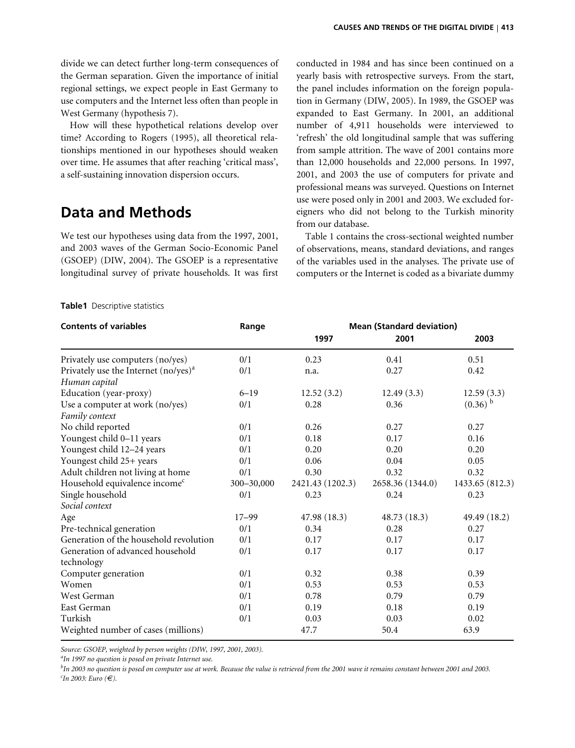divide we can detect further long-term consequences of the German separation. Given the importance of initial regional settings, we expect people in East Germany to use computers and the Internet less often than people in West Germany (hypothesis 7).

How will these hypothetical relations develop over time? According to Rogers (1995), all theoretical relationships mentioned in our hypotheses should weaken over time. He assumes that after reaching 'critical mass', a self-sustaining innovation dispersion occurs.

### **Data and Methods**

We test our hypotheses using data from the 1997, 2001, and 2003 waves of the German Socio-Economic Panel (GSOEP) (DIW, 2004). The GSOEP is a representative longitudinal survey of private households. It was first conducted in 1984 and has since been continued on a yearly basis with retrospective surveys. From the start, the panel includes information on the foreign population in Germany (DIW, 2005). In 1989, the GSOEP was expanded to East Germany. In 2001, an additional number of 4,911 households were interviewed to 'refresh' the old longitudinal sample that was suffering from sample attrition. The wave of 2001 contains more than 12,000 households and 22,000 persons. In 1997, 2001, and 2003 the use of computers for private and professional means was surveyed. Questions on Internet use were posed only in 2001 and 2003. We excluded foreigners who did not belong to the Turkish minority from our database.

Table 1 contains the cross-sectional weighted number of observations, means, standard deviations, and ranges of the variables used in the analyses. The private use of computers or the Internet is coded as a bivariate dummy

#### **Table1** Descriptive statistics

| <b>Contents of variables</b>                      | Range      | <b>Mean (Standard deviation)</b> |                  |                       |  |  |
|---------------------------------------------------|------------|----------------------------------|------------------|-----------------------|--|--|
|                                                   |            | 1997                             | 2001             | 2003                  |  |  |
| Privately use computers (no/yes)                  | 0/1        | 0.23                             | 0.41             | 0.51                  |  |  |
| Privately use the Internet (no/yes) <sup>a</sup>  | 0/1        | n.a.                             | 0.27             | 0.42                  |  |  |
| Human capital<br>Education (year-proxy)           | $6 - 19$   | 12.52(3.2)                       | 12.49(3.3)       | 12.59(3.3)            |  |  |
| Use a computer at work (no/yes)<br>Family context | 0/1        | 0.28                             | 0.36             | $(0.36)$ <sup>b</sup> |  |  |
| No child reported                                 | 0/1        | 0.26                             | 0.27             | 0.27                  |  |  |
| Youngest child 0-11 years                         | 0/1        | 0.18                             | 0.17             | 0.16                  |  |  |
| Youngest child 12-24 years                        | 0/1        | 0.20                             | 0.20             | 0.20                  |  |  |
| Youngest child 25+ years                          | 0/1        | 0.06                             | 0.04             | 0.05                  |  |  |
| Adult children not living at home                 | 0/1        | 0.30                             | 0.32             | 0.32                  |  |  |
| Household equivalence income <sup>c</sup>         | 300-30,000 | 2421.43 (1202.3)                 | 2658.36 (1344.0) | 1433.65 (812.3)       |  |  |
| Single household                                  | 0/1        | 0.23                             | 0.24             | 0.23                  |  |  |
| Social context                                    |            |                                  |                  |                       |  |  |
| Age                                               | $17 - 99$  | 47.98 (18.3)                     | 48.73 (18.3)     | 49.49 (18.2)          |  |  |
| Pre-technical generation                          | 0/1        | 0.34                             | 0.28             | 0.27                  |  |  |
| Generation of the household revolution            | 0/1        | 0.17                             | 0.17             | 0.17                  |  |  |
| Generation of advanced household                  | 0/1        | 0.17                             | 0.17             | 0.17                  |  |  |
| technology                                        |            |                                  |                  |                       |  |  |
| Computer generation                               | 0/1        | 0.32                             | 0.38             | 0.39                  |  |  |
| Women                                             | 0/1        | 0.53                             | 0.53             | 0.53                  |  |  |
| West German                                       | 0/1        | 0.78                             | 0.79             | 0.79                  |  |  |
| East German                                       | 0/1        | 0.19                             | 0.18             | 0.19                  |  |  |
| Turkish                                           | 0/1        | 0.03                             | 0.03             | 0.02                  |  |  |
| Weighted number of cases (millions)               |            | 47.7                             | 50.4             | 63.9                  |  |  |

*Source: GSOEP, weighted by person weights (DIW, 1997, 2001, 2003).*

*a In 1997 no question is posed on private Internet use.*

*b In 2003 no question is posed on computer use at work. Because the value is retrieved from the 2001 wave it remains constant between 2001 and 2003. c In 2003: Euro (€).*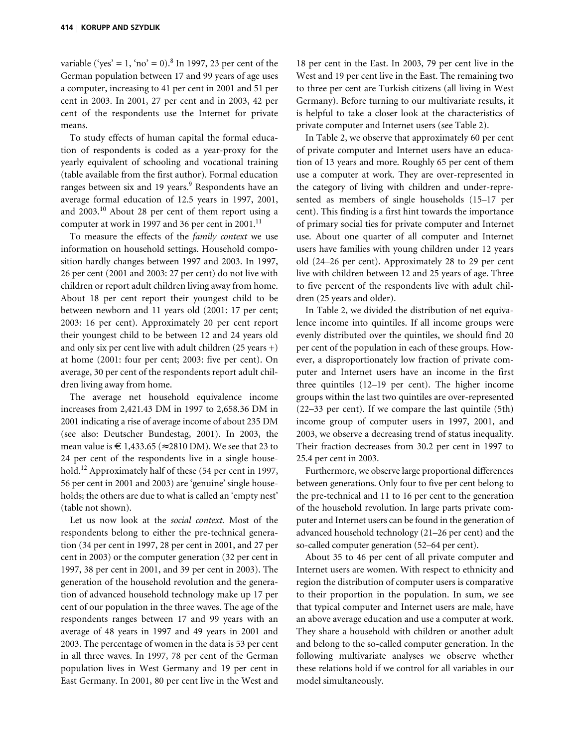variable ('yes' = 1, 'no' = 0).<sup>8</sup> In 1997, 23 per cent of the German population between 17 and 99 years of age uses a computer, increasing to 41 per cent in 2001 and 51 per cent in 2003. In 2001, 27 per cent and in 2003, 42 per cent of the respondents use the Internet for private means.

To study effects of human capital the formal education of respondents is coded as a year-proxy for the yearly equivalent of schooling and vocational training (table available from the first author). Formal education ranges between six and 19 years.<sup>9</sup> Respondents have an average formal education of 12.5 years in 1997, 2001, and 2003.10 About 28 per cent of them report using a computer at work in 1997 and 36 per cent in  $2001$ .<sup>11</sup>

To measure the effects of the *family context* we use information on household settings. Household composition hardly changes between 1997 and 2003. In 1997, 26 per cent (2001 and 2003: 27 per cent) do not live with children or report adult children living away from home. About 18 per cent report their youngest child to be between newborn and 11 years old (2001: 17 per cent; 2003: 16 per cent). Approximately 20 per cent report their youngest child to be between 12 and 24 years old and only six per cent live with adult children (25 years +) at home (2001: four per cent; 2003: five per cent). On average, 30 per cent of the respondents report adult children living away from home.

The average net household equivalence income increases from 2,421.43 DM in 1997 to 2,658.36 DM in 2001 indicating a rise of average income of about 235 DM (see also: Deutscher Bundestag, 2001). In 2003, the mean value is  $\in$  1,433.65 ( $\approx$  2810 DM). We see that 23 to 24 per cent of the respondents live in a single household.<sup>12</sup> Approximately half of these (54 per cent in 1997, 56 per cent in 2001 and 2003) are 'genuine' single households; the others are due to what is called an 'empty nest' (table not shown).

Let us now look at the *social context.* Most of the respondents belong to either the pre-technical generation (34 per cent in 1997, 28 per cent in 2001, and 27 per cent in 2003) or the computer generation (32 per cent in 1997, 38 per cent in 2001, and 39 per cent in 2003). The generation of the household revolution and the generation of advanced household technology make up 17 per cent of our population in the three waves. The age of the respondents ranges between 17 and 99 years with an average of 48 years in 1997 and 49 years in 2001 and 2003. The percentage of women in the data is 53 per cent in all three waves. In 1997, 78 per cent of the German population lives in West Germany and 19 per cent in East Germany. In 2001, 80 per cent live in the West and 18 per cent in the East. In 2003, 79 per cent live in the West and 19 per cent live in the East. The remaining two to three per cent are Turkish citizens (all living in West Germany). Before turning to our multivariate results, it is helpful to take a closer look at the characteristics of private computer and Internet users (see Table 2).

In Table 2, we observe that approximately 60 per cent of private computer and Internet users have an education of 13 years and more. Roughly 65 per cent of them use a computer at work. They are over-represented in the category of living with children and under-represented as members of single households (15–17 per cent). This finding is a first hint towards the importance of primary social ties for private computer and Internet use. About one quarter of all computer and Internet users have families with young children under 12 years old (24–26 per cent). Approximately 28 to 29 per cent live with children between 12 and 25 years of age. Three to five percent of the respondents live with adult children (25 years and older).

In Table 2, we divided the distribution of net equivalence income into quintiles. If all income groups were evenly distributed over the quintiles, we should find 20 per cent of the population in each of these groups. However, a disproportionately low fraction of private computer and Internet users have an income in the first three quintiles (12–19 per cent). The higher income groups within the last two quintiles are over-represented (22–33 per cent). If we compare the last quintile (5th) income group of computer users in 1997, 2001, and 2003, we observe a decreasing trend of status inequality. Their fraction decreases from 30.2 per cent in 1997 to 25.4 per cent in 2003.

Furthermore, we observe large proportional differences between generations. Only four to five per cent belong to the pre-technical and 11 to 16 per cent to the generation of the household revolution. In large parts private computer and Internet users can be found in the generation of advanced household technology (21–26 per cent) and the so-called computer generation (52–64 per cent).

About 35 to 46 per cent of all private computer and Internet users are women. With respect to ethnicity and region the distribution of computer users is comparative to their proportion in the population. In sum, we see that typical computer and Internet users are male, have an above average education and use a computer at work. They share a household with children or another adult and belong to the so-called computer generation. In the following multivariate analyses we observe whether these relations hold if we control for all variables in our model simultaneously.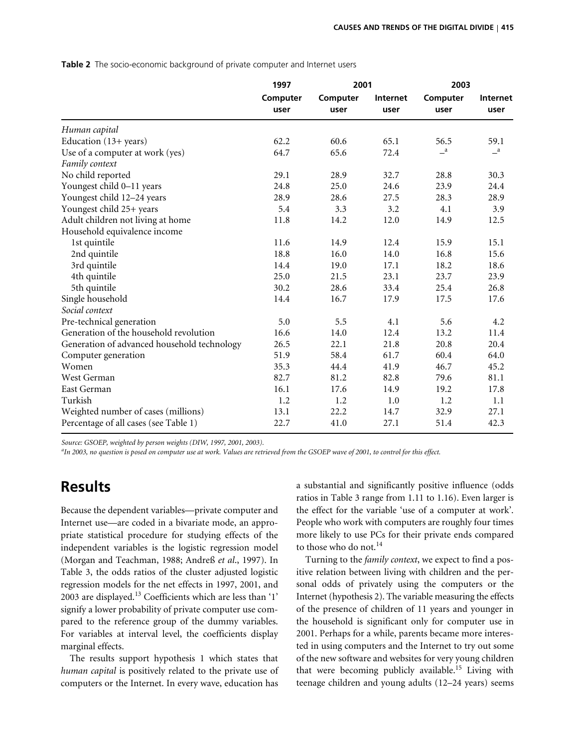**Table 2** The socio-economic background of private computer and Internet users

|                                             | 1997             | 2001             |                         | 2003             |                            |
|---------------------------------------------|------------------|------------------|-------------------------|------------------|----------------------------|
|                                             | Computer<br>user | Computer<br>user | <b>Internet</b><br>user | Computer<br>user | <b>Internet</b><br>user    |
|                                             |                  |                  |                         |                  |                            |
| Human capital                               |                  |                  |                         |                  |                            |
| Education (13+ years)                       | 62.2             | 60.6             | 65.1                    | 56.5             | 59.1                       |
| Use of a computer at work (yes)             | 64.7             | 65.6             | 72.4                    | $\mathbf{a}$     | $\overline{\phantom{a}}^a$ |
| Family context                              |                  |                  |                         |                  |                            |
| No child reported                           | 29.1             | 28.9             | 32.7                    | 28.8             | 30.3                       |
| Youngest child 0–11 years                   | 24.8             | 25.0             | 24.6                    | 23.9             | 24.4                       |
| Youngest child 12-24 years                  | 28.9             | 28.6             | 27.5                    | 28.3             | 28.9                       |
| Youngest child 25+ years                    | 5.4              | 3.3              | 3.2                     | 4.1              | 3.9                        |
| Adult children not living at home           | 11.8             | 14.2             | 12.0                    | 14.9             | 12.5                       |
| Household equivalence income                |                  |                  |                         |                  |                            |
| 1st quintile                                | 11.6             | 14.9             | 12.4                    | 15.9             | 15.1                       |
| 2nd quintile                                | 18.8             | 16.0             | 14.0                    | 16.8             | 15.6                       |
| 3rd quintile                                | 14.4             | 19.0             | 17.1                    | 18.2             | 18.6                       |
| 4th quintile                                | 25.0             | 21.5             | 23.1                    | 23.7             | 23.9                       |
| 5th quintile                                | 30.2             | 28.6             | 33.4                    | 25.4             | 26.8                       |
| Single household                            | 14.4             | 16.7             | 17.9                    | 17.5             | 17.6                       |
| Social context                              |                  |                  |                         |                  |                            |
| Pre-technical generation                    | 5.0              | 5.5              | 4.1                     | 5.6              | 4.2                        |
| Generation of the household revolution      | 16.6             | 14.0             | 12.4                    | 13.2             | 11.4                       |
| Generation of advanced household technology | 26.5             | 22.1             | 21.8                    | 20.8             | 20.4                       |
| Computer generation                         | 51.9             | 58.4             | 61.7                    | 60.4             | 64.0                       |
| Women                                       | 35.3             | 44.4             | 41.9                    | 46.7             | 45.2                       |
| West German                                 | 82.7             | 81.2             | 82.8                    | 79.6             | 81.1                       |
| East German                                 | 16.1             | 17.6             | 14.9                    | 19.2             | 17.8                       |
| Turkish                                     | 1.2              | 1.2              | 1.0                     | 1.2              | 1.1                        |
| Weighted number of cases (millions)         | 13.1             | 22.2             | 14.7                    | 32.9             | 27.1                       |
| Percentage of all cases (see Table 1)       | 22.7             | 41.0             | 27.1                    | 51.4             | 42.3                       |

*Source: GSOEP, weighted by person weights (DIW, 1997, 2001, 2003).*

*a In 2003, no question is posed on computer use at work. Values are retrieved from the GSOEP wave of 2001, to control for this effect.*

# **Results**

Because the dependent variables—private computer and Internet use—are coded in a bivariate mode, an appropriate statistical procedure for studying effects of the independent variables is the logistic regression model (Morgan and Teachman, 1988; Andreß *et al*., 1997). In Table 3, the odds ratios of the cluster adjusted logistic regression models for the net effects in 1997, 2001, and 2003 are displayed.<sup>13</sup> Coefficients which are less than '1' signify a lower probability of private computer use compared to the reference group of the dummy variables. For variables at interval level, the coefficients display marginal effects.

The results support hypothesis 1 which states that *human capital* is positively related to the private use of computers or the Internet. In every wave, education has a substantial and significantly positive influence (odds ratios in Table 3 range from 1.11 to 1.16). Even larger is the effect for the variable 'use of a computer at work'. People who work with computers are roughly four times more likely to use PCs for their private ends compared to those who do not.<sup>14</sup>

Turning to the *family context*, we expect to find a positive relation between living with children and the personal odds of privately using the computers or the Internet (hypothesis 2). The variable measuring the effects of the presence of children of 11 years and younger in the household is significant only for computer use in 2001. Perhaps for a while, parents became more interested in using computers and the Internet to try out some of the new software and websites for very young children that were becoming publicly available.<sup>15</sup> Living with teenage children and young adults (12–24 years) seems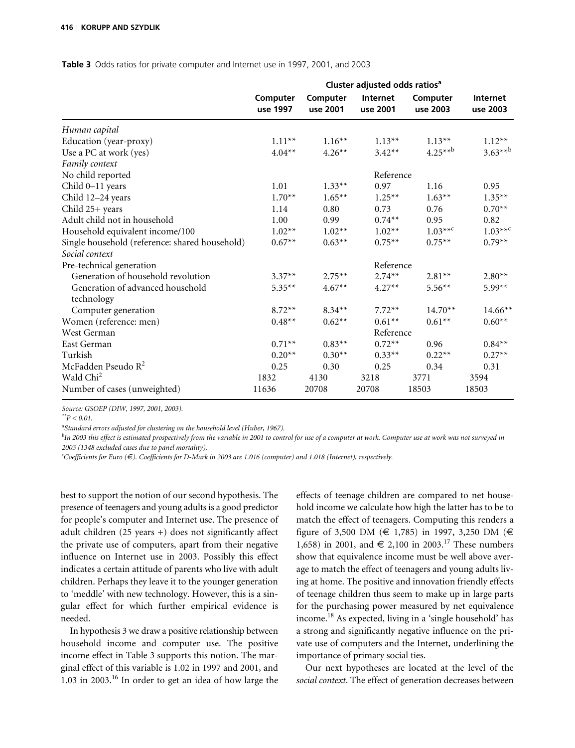**Table 3** Odds ratios for private computer and Internet use in 1997, 2001, and 2003

|                                                | Cluster adjusted odds ratios <sup>a</sup> |                      |                      |                      |                      |  |
|------------------------------------------------|-------------------------------------------|----------------------|----------------------|----------------------|----------------------|--|
|                                                | Computer<br>use 1997                      | Computer<br>use 2001 | Internet<br>use 2001 | Computer<br>use 2003 | Internet<br>use 2003 |  |
| Human capital                                  |                                           |                      |                      |                      |                      |  |
| Education (year-proxy)                         | $1.11***$                                 | $1.16**$             | $1.13***$            | $1.13**$             | $1.12**$             |  |
| Use a PC at work (yes)                         | $4.04***$                                 | $4.26**$             | $3.42**$             | $4.25***$            | $3.63***b$           |  |
| Family context                                 |                                           |                      |                      |                      |                      |  |
| No child reported                              |                                           |                      | Reference            |                      |                      |  |
| Child 0–11 years                               | 1.01                                      | $1.33**$             | 0.97                 | 1.16                 | 0.95                 |  |
| Child 12-24 years                              | $1.70**$                                  | $1.65***$            | $1.25***$            | $1.63**$             | $1.35**$             |  |
| Child 25+ years                                | 1.14                                      | 0.80                 | 0.73                 | 0.76                 | $0.70**$             |  |
| Adult child not in household                   | 1.00                                      | 0.99                 | $0.74***$            | 0.95                 | 0.82                 |  |
| Household equivalent income/100                | $1.02**$                                  | $1.02**$             | $1.02**$             | $1.03***$            | $1.03***$            |  |
| Single household (reference: shared household) | $0.67**$                                  | $0.63**$             | $0.75**$             | $0.75**$             | $0.79**$             |  |
| Social context                                 |                                           |                      |                      |                      |                      |  |
| Pre-technical generation                       |                                           |                      | Reference            |                      |                      |  |
| Generation of household revolution             | $3.37**$                                  | $2.75**$             | $2.74***$            | $2.81**$             | $2.80**$             |  |
| Generation of advanced household               | $5.35**$                                  | $4.67**$             | $4.27**$             | $5.56**$             | $5.99**$             |  |
| technology                                     |                                           |                      |                      |                      |                      |  |
| Computer generation                            | $8.72**$                                  | $8.34**$             | $7.72**$             | $14.70**$            | $14.66**$            |  |
| Women (reference: men)                         | $0.48**$                                  | $0.62**$             | $0.61**$             | $0.61**$             | $0.60**$             |  |
| West German                                    | Reference                                 |                      |                      |                      |                      |  |
| East German                                    | $0.71**$                                  | $0.83**$             | $0.72**$             | 0.96                 | $0.84**$             |  |
| Turkish                                        | $0.20**$                                  | $0.30**$             | $0.33**$             | $0.22**$             | $0.27**$             |  |
| McFadden Pseudo $R^2$                          | 0.25                                      | 0.30                 | 0.25                 | 0.34                 | 0.31                 |  |
| Wald Chi <sup>2</sup>                          | 1832                                      | 4130                 | 3218                 | 3771                 | 3594                 |  |
| Number of cases (unweighted)                   | 11636                                     | 20708                | 20708                | 18503                | 18503                |  |

*Source: GSOEP (DIW, 1997, 2001, 2003).*

*\*\*P < 0.01.*

*a Standard errors adjusted for clustering on the household level (Huber, 1967).*

*b In 2003 this effect is estimated prospectively from the variable in 2001 to control for use of a computer at work. Computer use at work was not surveyed in 2003 (1348 excluded cases due to panel mortality).*

*c Coefficients for Euro (€). Coefficients for D-Mark in 2003 are 1.016 (computer) and 1.018 (Internet), respectively.*

best to support the notion of our second hypothesis. The presence of teenagers and young adults is a good predictor for people's computer and Internet use. The presence of adult children (25 years +) does not significantly affect the private use of computers, apart from their negative influence on Internet use in 2003. Possibly this effect indicates a certain attitude of parents who live with adult children. Perhaps they leave it to the younger generation to 'meddle' with new technology. However, this is a singular effect for which further empirical evidence is needed.

In hypothesis 3 we draw a positive relationship between household income and computer use. The positive income effect in Table 3 supports this notion. The marginal effect of this variable is 1.02 in 1997 and 2001, and 1.03 in 2003.16 In order to get an idea of how large the effects of teenage children are compared to net household income we calculate how high the latter has to be to match the effect of teenagers. Computing this renders a figure of 3,500 DM (€ 1,785) in 1997, 3,250 DM (€ 1,658) in 2001, and € 2,100 in 2003.<sup>17</sup> These numbers show that equivalence income must be well above average to match the effect of teenagers and young adults living at home. The positive and innovation friendly effects of teenage children thus seem to make up in large parts for the purchasing power measured by net equivalence income.18 As expected, living in a 'single household' has a strong and significantly negative influence on the private use of computers and the Internet, underlining the importance of primary social ties.

Our next hypotheses are located at the level of the *social context*. The effect of generation decreases between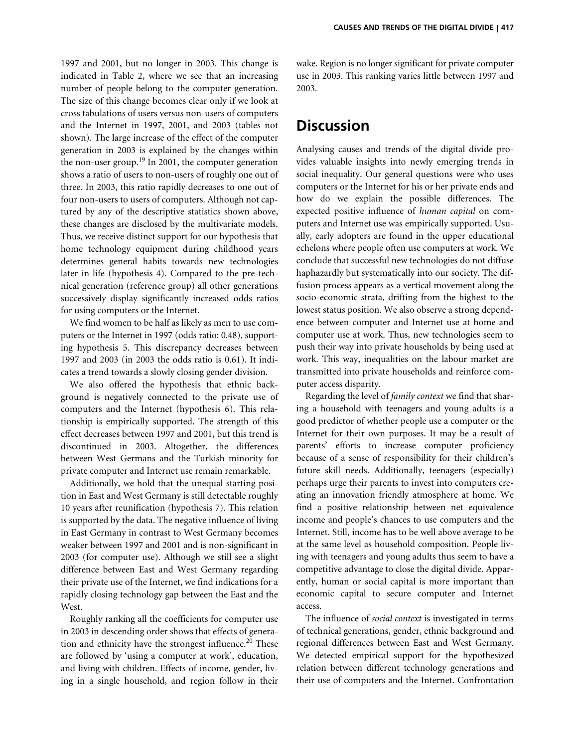1997 and 2001, but no longer in 2003. This change is indicated in Table 2, where we see that an increasing number of people belong to the computer generation. The size of this change becomes clear only if we look at cross tabulations of users versus non-users of computers and the Internet in 1997, 2001, and 2003 (tables not shown). The large increase of the effect of the computer generation in 2003 is explained by the changes within the non-user group.<sup>19</sup> In 2001, the computer generation shows a ratio of users to non-users of roughly one out of three. In 2003, this ratio rapidly decreases to one out of four non-users to users of computers. Although not captured by any of the descriptive statistics shown above, these changes are disclosed by the multivariate models. Thus, we receive distinct support for our hypothesis that home technology equipment during childhood years determines general habits towards new technologies later in life (hypothesis 4). Compared to the pre-technical generation (reference group) all other generations successively display significantly increased odds ratios for using computers or the Internet.

We find women to be half as likely as men to use computers or the Internet in 1997 (odds ratio: 0.48), supporting hypothesis 5. This discrepancy decreases between 1997 and 2003 (in 2003 the odds ratio is 0.61). It indicates a trend towards a slowly closing gender division.

We also offered the hypothesis that ethnic background is negatively connected to the private use of computers and the Internet (hypothesis 6). This relationship is empirically supported. The strength of this effect decreases between 1997 and 2001, but this trend is discontinued in 2003. Altogether, the differences between West Germans and the Turkish minority for private computer and Internet use remain remarkable.

Additionally, we hold that the unequal starting position in East and West Germany is still detectable roughly 10 years after reunification (hypothesis 7). This relation is supported by the data. The negative influence of living in East Germany in contrast to West Germany becomes weaker between 1997 and 2001 and is non-significant in 2003 (for computer use). Although we still see a slight difference between East and West Germany regarding their private use of the Internet, we find indications for a rapidly closing technology gap between the East and the **West** 

Roughly ranking all the coefficients for computer use in 2003 in descending order shows that effects of generation and ethnicity have the strongest influence.<sup>20</sup> These are followed by 'using a computer at work', education, and living with children. Effects of income, gender, living in a single household, and region follow in their wake. Region is no longer significant for private computer use in 2003. This ranking varies little between 1997 and 2003.

#### **Discussion**

Analysing causes and trends of the digital divide provides valuable insights into newly emerging trends in social inequality. Our general questions were who uses computers or the Internet for his or her private ends and how do we explain the possible differences. The expected positive influence of *human capital* on computers and Internet use was empirically supported. Usually, early adopters are found in the upper educational echelons where people often use computers at work. We conclude that successful new technologies do not diffuse haphazardly but systematically into our society. The diffusion process appears as a vertical movement along the socio-economic strata, drifting from the highest to the lowest status position. We also observe a strong dependence between computer and Internet use at home and computer use at work. Thus, new technologies seem to push their way into private households by being used at work. This way, inequalities on the labour market are transmitted into private households and reinforce computer access disparity.

Regarding the level of *family context* we find that sharing a household with teenagers and young adults is a good predictor of whether people use a computer or the Internet for their own purposes. It may be a result of parents' efforts to increase computer proficiency because of a sense of responsibility for their children's future skill needs. Additionally, teenagers (especially) perhaps urge their parents to invest into computers creating an innovation friendly atmosphere at home. We find a positive relationship between net equivalence income and people's chances to use computers and the Internet. Still, income has to be well above average to be at the same level as household composition. People living with teenagers and young adults thus seem to have a competitive advantage to close the digital divide. Apparently, human or social capital is more important than economic capital to secure computer and Internet access.

The influence of *social context* is investigated in terms of technical generations, gender, ethnic background and regional differences between East and West Germany. We detected empirical support for the hypothesized relation between different technology generations and their use of computers and the Internet. Confrontation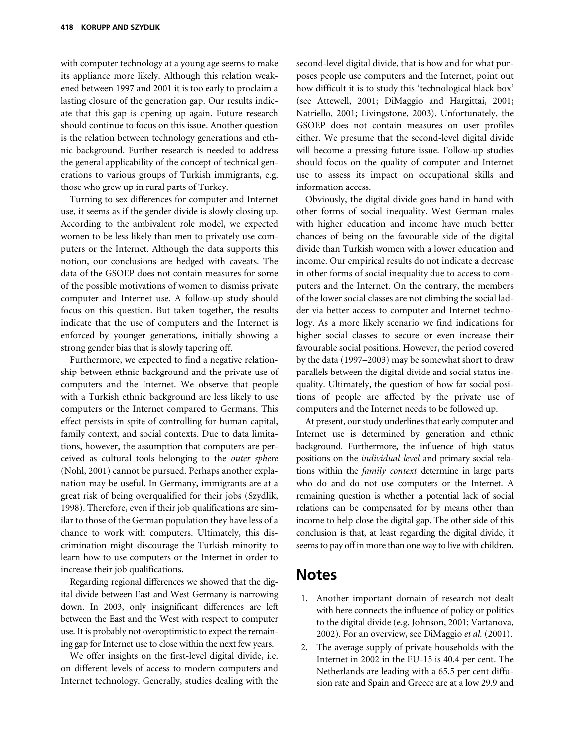with computer technology at a young age seems to make its appliance more likely. Although this relation weakened between 1997 and 2001 it is too early to proclaim a lasting closure of the generation gap. Our results indicate that this gap is opening up again. Future research should continue to focus on this issue. Another question is the relation between technology generations and ethnic background. Further research is needed to address the general applicability of the concept of technical generations to various groups of Turkish immigrants, e.g. those who grew up in rural parts of Turkey.

Turning to sex differences for computer and Internet use, it seems as if the gender divide is slowly closing up. According to the ambivalent role model, we expected women to be less likely than men to privately use computers or the Internet. Although the data supports this notion, our conclusions are hedged with caveats. The data of the GSOEP does not contain measures for some of the possible motivations of women to dismiss private computer and Internet use. A follow-up study should focus on this question. But taken together, the results indicate that the use of computers and the Internet is enforced by younger generations, initially showing a strong gender bias that is slowly tapering off.

Furthermore, we expected to find a negative relationship between ethnic background and the private use of computers and the Internet. We observe that people with a Turkish ethnic background are less likely to use computers or the Internet compared to Germans. This effect persists in spite of controlling for human capital, family context, and social contexts. Due to data limitations, however, the assumption that computers are perceived as cultural tools belonging to the *outer sphere* (Nohl, 2001) cannot be pursued. Perhaps another explanation may be useful. In Germany, immigrants are at a great risk of being overqualified for their jobs (Szydlik, 1998). Therefore, even if their job qualifications are similar to those of the German population they have less of a chance to work with computers. Ultimately, this discrimination might discourage the Turkish minority to learn how to use computers or the Internet in order to increase their job qualifications.

Regarding regional differences we showed that the digital divide between East and West Germany is narrowing down. In 2003, only insignificant differences are left between the East and the West with respect to computer use. It is probably not overoptimistic to expect the remaining gap for Internet use to close within the next few years.

We offer insights on the first-level digital divide, i.e. on different levels of access to modern computers and Internet technology. Generally, studies dealing with the second-level digital divide, that is how and for what purposes people use computers and the Internet, point out how difficult it is to study this 'technological black box' (see Attewell, 2001; DiMaggio and Hargittai, 2001; Natriello, 2001; Livingstone, 2003). Unfortunately, the GSOEP does not contain measures on user profiles either. We presume that the second-level digital divide will become a pressing future issue. Follow-up studies should focus on the quality of computer and Internet use to assess its impact on occupational skills and information access.

Obviously, the digital divide goes hand in hand with other forms of social inequality. West German males with higher education and income have much better chances of being on the favourable side of the digital divide than Turkish women with a lower education and income. Our empirical results do not indicate a decrease in other forms of social inequality due to access to computers and the Internet. On the contrary, the members of the lower social classes are not climbing the social ladder via better access to computer and Internet technology. As a more likely scenario we find indications for higher social classes to secure or even increase their favourable social positions. However, the period covered by the data (1997–2003) may be somewhat short to draw parallels between the digital divide and social status inequality. Ultimately, the question of how far social positions of people are affected by the private use of computers and the Internet needs to be followed up.

At present, our study underlines that early computer and Internet use is determined by generation and ethnic background. Furthermore, the influence of high status positions on the *individual level* and primary social relations within the *family context* determine in large parts who do and do not use computers or the Internet. A remaining question is whether a potential lack of social relations can be compensated for by means other than income to help close the digital gap. The other side of this conclusion is that, at least regarding the digital divide, it seems to pay off in more than one way to live with children.

#### **Notes**

- 1. Another important domain of research not dealt with here connects the influence of policy or politics to the digital divide (e.g. Johnson, 2001; Vartanova, 2002). For an overview, see DiMaggio *et al.* (2001).
- 2. The average supply of private households with the Internet in 2002 in the EU-15 is 40.4 per cent. The Netherlands are leading with a 65.5 per cent diffusion rate and Spain and Greece are at a low 29.9 and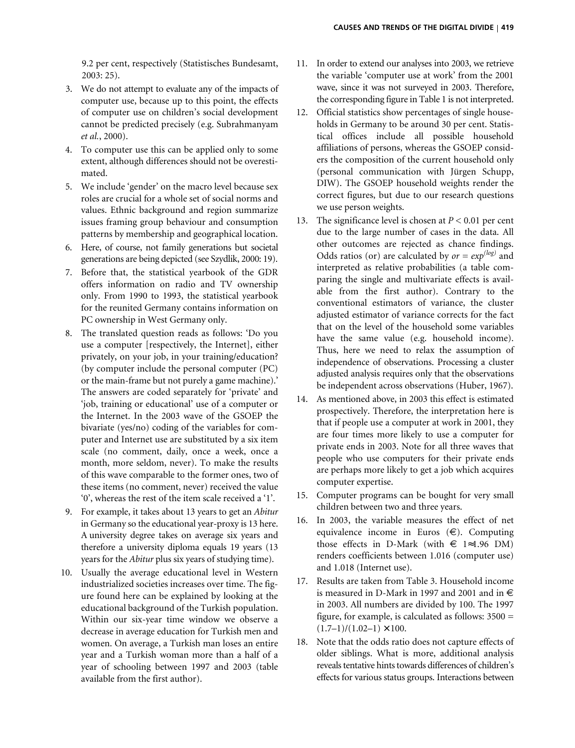9.2 per cent, respectively (Statistisches Bundesamt, 2003: 25).

- 3. We do not attempt to evaluate any of the impacts of computer use, because up to this point, the effects of computer use on children's social development cannot be predicted precisely (e.g. Subrahmanyam *et al.*, 2000).
- 4. To computer use this can be applied only to some extent, although differences should not be overestimated.
- 5. We include 'gender' on the macro level because sex roles are crucial for a whole set of social norms and values. Ethnic background and region summarize issues framing group behaviour and consumption patterns by membership and geographical location.
- 6. Here, of course, not family generations but societal generations are being depicted (see Szydlik, 2000: 19).
- 7. Before that, the statistical yearbook of the GDR offers information on radio and TV ownership only. From 1990 to 1993, the statistical yearbook for the reunited Germany contains information on PC ownership in West Germany only.
- 8. The translated question reads as follows: 'Do you use a computer [respectively, the Internet], either privately, on your job, in your training/education? (by computer include the personal computer (PC) or the main-frame but not purely a game machine).' The answers are coded separately for 'private' and 'job, training or educational' use of a computer or the Internet. In the 2003 wave of the GSOEP the bivariate (yes/no) coding of the variables for computer and Internet use are substituted by a six item scale (no comment, daily, once a week, once a month, more seldom, never). To make the results of this wave comparable to the former ones, two of these items (no comment, never) received the value '0', whereas the rest of the item scale received a '1'.
- 9. For example, it takes about 13 years to get an *Abitur* in Germany so the educational year-proxy is 13 here. A university degree takes on average six years and therefore a university diploma equals 19 years (13 years for the *Abitur* plus six years of studying time).
- 10. Usually the average educational level in Western industrialized societies increases over time. The figure found here can be explained by looking at the educational background of the Turkish population. Within our six-year time window we observe a decrease in average education for Turkish men and women. On average, a Turkish man loses an entire year and a Turkish woman more than a half of a year of schooling between 1997 and 2003 (table available from the first author).
- 11. In order to extend our analyses into 2003, we retrieve the variable 'computer use at work' from the 2001 wave, since it was not surveyed in 2003. Therefore, the corresponding figure in Table 1 is not interpreted.
- 12. Official statistics show percentages of single households in Germany to be around 30 per cent. Statistical offices include all possible household affiliations of persons, whereas the GSOEP considers the composition of the current household only (personal communication with Jürgen Schupp, DIW). The GSOEP household weights render the correct figures, but due to our research questions we use person weights.
- 13. The significance level is chosen at *P* < 0.01 per cent due to the large number of cases in the data. All other outcomes are rejected as chance findings. Odds ratios (or) are calculated by  $or = exp^{(log)}$  and interpreted as relative probabilities (a table comparing the single and multivariate effects is available from the first author). Contrary to the conventional estimators of variance, the cluster adjusted estimator of variance corrects for the fact that on the level of the household some variables have the same value (e.g. household income). Thus, here we need to relax the assumption of independence of observations. Processing a cluster adjusted analysis requires only that the observations be independent across observations (Huber, 1967).
- 14. As mentioned above, in 2003 this effect is estimated prospectively. Therefore, the interpretation here is that if people use a computer at work in 2001, they are four times more likely to use a computer for private ends in 2003. Note for all three waves that people who use computers for their private ends are perhaps more likely to get a job which acquires computer expertise.
- 15. Computer programs can be bought for very small children between two and three years.
- 16. In 2003, the variable measures the effect of net equivalence income in Euros  $(\epsilon)$ . Computing those effects in D-Mark (with  $\epsilon$  1≈1.96 DM) renders coefficients between 1.016 (computer use) and 1.018 (Internet use).
- 17. Results are taken from Table 3. Household income is measured in D-Mark in 1997 and 2001 and in  $\in$ in 2003. All numbers are divided by 100. The 1997 figure, for example, is calculated as follows: 3500 =  $(1.7-1)/(1.02-1) \times 100$ .
- 18. Note that the odds ratio does not capture effects of older siblings. What is more, additional analysis reveals tentative hints towards differences of children's effects for various status groups. Interactions between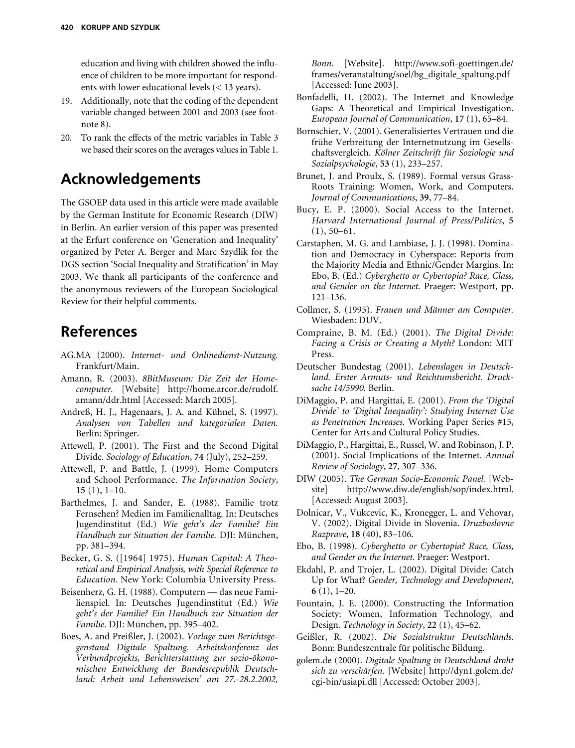education and living with children showed the influence of children to be more important for respondents with lower educational levels (< 13 years).

- 19. Additionally, note that the coding of the dependent variable changed between 2001 and 2003 (see footnote 8).
- 20. To rank the effects of the metric variables in Table 3 we based their scores on the averages values in Table 1.

### **Acknowledgements**

The GSOEP data used in this article were made available by the German Institute for Economic Research (DIW) in Berlin. An earlier version of this paper was presented at the Erfurt conference on 'Generation and Inequality' organized by Peter A. Berger and Marc Szydlik for the DGS section 'Social Inequality and Stratification' in May 2003. We thank all participants of the conference and the anonymous reviewers of the European Sociological Review for their helpful comments.

# **References**

- AG.MA (2000). *Internet- und Onlinedienst-Nutzung.* Frankfurt/Main.
- Amann, R. (2003). *8BitMuseum: Die Zeit der Homecomputer.* [Website] [http://home.arcor.de/rudolf.](http://home.arcor.de/rudolf.amann/ddr.html) [amann/ddr.html](http://home.arcor.de/rudolf.amann/ddr.html) [Accessed: March 2005].
- Andreß, H. J., Hagenaars, J. A. and Kühnel, S. (1997). *Analysen von Tabellen und kategorialen Daten.* Berlin: Springer.
- Attewell, P. (2001). The First and the Second Digital Divide. *Sociology of Education*, **74** (July), 252–259.
- Attewell, P. and Battle, J. (1999). Home Computers and School Performance. *The Information Society*, **15** (1), 1–10.
- Barthelmes, J. and Sander, E. (1988). Familie trotz Fernsehen? Medien im Familienalltag. In: Deutsches Jugendinstitut (Ed.) *Wie geht's der Familie? Ein Handbuch zur Situation der Familie.* DJI: München, pp. 381–394.
- Becker, G. S. ([1964] 1975). *Human Capital: A Theoretical and Empirical Analysis, with Special Reference to Education.* New York: Columbia University Press.
- Beisenherz, G. H. (1988). Computern das neue Familienspiel. In: Deutsches Jugendinstitut (Ed.) *Wie geht's der Familie? Ein Handbuch zur Situation der Familie.* DJI: München, pp. 395–402.
- Boes, A. and Preißler, J. (2002). *Vorlage zum Berichtsgegenstand Digitale Spaltung. Arbeitskonferenz des Verbundprojekts, Berichterstattung zur sozio-ökonomischen Entwicklung der Bundesrepublik Deutschland: Arbeit und Lebensweisen' am 27.-28.2.2002,*

*Bonn.* [Website]. http://www.sofi-goettingen.de/ [frames/veranstaltung/soel/bg\\_digitale\\_spaltung.pdf](http://www.sofi-goettingen.de/frames/veranstaltung/soel/bg_digitale_spaltung.pdf) [Accessed: June 2003].

- Bonfadelli, H. (2002). The Internet and Knowledge Gaps: A Theoretical and Empirical Investigation. *European Journal of Communication*, **17** (1), 65–84.
- Bornschier, V. (2001). Generalisiertes Vertrauen und die frühe Verbreitung der Internetnutzung im Gesellschaftsvergleich. *Kölner Zeitschrift für Soziologie und Sozialpsychologie*, **53** (1), 233–257.
- Brunet, J. and Proulx, S. (1989). Formal versus Grass-Roots Training: Women, Work, and Computers. *Journal of Communications*, **39**, 77–84.
- Bucy, E. P. (2000). Social Access to the Internet. *Harvard International Journal of Press/Politics*, **5**  $(1), 50-61.$
- Carstaphen, M. G. and Lambiase, J. J. (1998). Domination and Democracy in Cyberspace: Reports from the Majority Media and Ethnic/Gender Margins. In: Ebo, B. (Ed.) *Cyberghetto or Cybertopia? Race, Class, and Gender on the Internet.* Praeger: Westport, pp. 121–136.
- Collmer, S. (1995). *Frauen und Männer am Computer.* Wiesbaden: DUV.
- Compraine, B. M. (Ed.) (2001). *The Digital Divide: Facing a Crisis or Creating a Myth?* London: MIT Press.
- Deutscher Bundestag (2001). *Lebenslagen in Deutschland. Erster Armuts- und Reichtumsbericht. Drucksache 14/5990.* Berlin.
- DiMaggio, P. and Hargittai, E. (2001). *From the 'Digital Divide' to 'Digital Inequality': Studying Internet Use as Penetration Increases.* Working Paper Series #15, Center for Arts and Cultural Policy Studies.
- DiMaggio, P., Hargittai, E., Russel, W. and Robinson, J. P. (2001). Social Implications of the Internet. *Annual Review of Sociology*, **27**, 307–336.
- DIW (2005). *The German Socio-Economic Panel.* [Website] [http://www.diw.de/english/sop/index.html.](http://www.diw.de/english/sop/index.html) [Accessed: August 2003].
- Dolnicar, V., Vukcevic, K., Kronegger, L. and Vehovar, V. (2002). Digital Divide in Slovenia. *Druzboslovne Razprave*, **18** (40), 83–106.
- Ebo, B. (1998). *Cyberghetto or Cybertopia? Race, Class, and Gender on the Internet.* Praeger: Westport.
- Ekdahl, P. and Trojer, L. (2002). Digital Divide: Catch Up for What? *Gender, Technology and Development*, **6** (1), 1–20.
- Fountain, J. E. (2000). Constructing the Information Society: Women, Information Technology, and Design. *Technology in Society*, **22** (1), 45–62.
- Geißler, R. (2002). *Die Sozialstruktur Deutschlands*. Bonn: Bundeszentrale für politische Bildung.
- golem.de (2000). *Digitale Spaltung in Deutschland droht sich zu verschärfen.* [Website] [http://dyn1.golem.de/](http://dyn1.golem.de/cgi-bin/usiapi.dll) [cgi-bin/usiapi.dll \[](http://dyn1.golem.de/cgi-bin/usiapi.dll)Accessed: October 2003].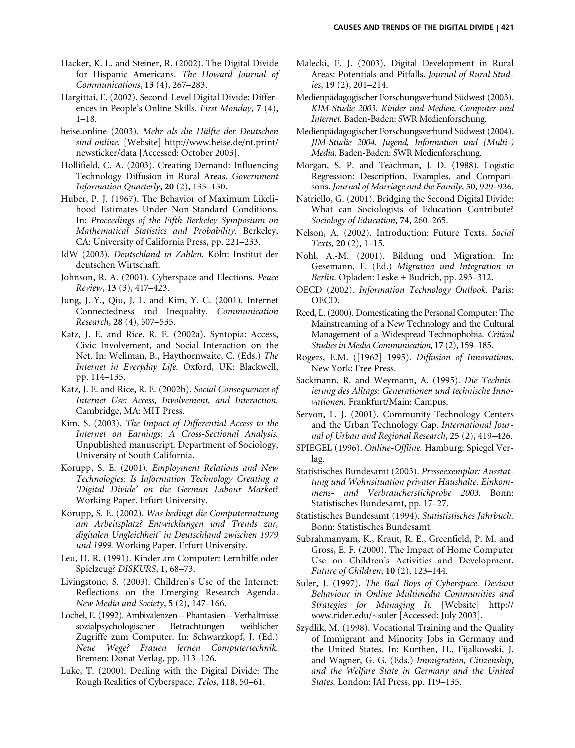- Hacker, K. L. and Steiner, R. (2002). The Digital Divide for Hispanic Americans. *The Howard Journal of Communications*, **13** (4), 267–283.
- Hargittai, E. (2002). Second-Level Digital Divide: Differences in People's Online Skills. *First Monday*, **7** (4), 1–18.
- heise.online (2003). *Mehr als die Hälfte der Deutschen sind online.* [Website] [http://www.heise.de/nt.print/](http://www.heise.de/nt.print/newsticker/data) [newsticker/data](http://www.heise.de/nt.print/newsticker/data) [Accessed: October 2003].
- Hollifield, C. A. (2003). Creating Demand: Influencing Technology Diffusion in Rural Areas. *Government Information Quarterly*, **20** (2), 135–150.
- Huber, P. J. (1967). The Behavior of Maximum Likelihood Estimates Under Non-Standard Conditions. In: *Proceedings of the Fifth Berkeley Symposium on Mathematical Statistics and Probability*. Berkeley, CA: University of California Press, pp. 221–233.
- IdW (2003). *Deutschland in Zahlen.* Köln: Institut der deutschen Wirtschaft.
- Johnson, R. A. (2001). Cyberspace and Elections. *Peace Review*, **13** (3), 417–423.
- Jung, J.-Y., Qiu, J. L. and Kim, Y.-C. (2001). Internet Connectedness and Inequality. *Communication Research*, **28** (4), 507–535.
- Katz, J. E. and Rice, R. E. (2002a). Syntopia: Access, Civic Involvement, and Social Interaction on the Net. In: Wellman, B., Haythornwaite, C. (Eds.) *The Internet in Everyday Life.* Oxford, UK: Blackwell, pp. 114–135.
- Katz, J. E. and Rice, R. E. (2002b). *Social Consequences of Internet Use: Access, Involvement, and Interaction.* Cambridge, MA: MIT Press.
- Kim, S. (2003). *The Impact of Differential Access to the Internet on Earnings: A Cross-Sectional Analysis.* Unpublished manuscript. Department of Sociology, University of South California.
- Korupp, S. E. (2001). *Employment Relations and New Technologies: Is Information Technology Creating a 'Digital Divide' on the German Labour Market?* Working Paper. Erfurt University.
- Korupp, S. E. (2002). *Was bedingt die Computernutzung am Arbeitsplatz? Entwicklungen und Trends zur, digitalen Ungleichheit' in Deutschland zwischen 1979 und 1999.* Working Paper. Erfurt University.
- Leu, H. R. (1991). Kinder am Computer: Lernhilfe oder Spielzeug? *DISKURS*, **1**, 68–73.
- Livingstone, S. (2003). Children's Use of the Internet: Reflections on the Emerging Research Agenda. *New Media and Society*, **5** (2), 147–166.
- Löchel, E. (1992). Ambivalenzen Phantasien Verhältnisse sozialpsychologischer Betrachtungen weiblicher Zugriffe zum Computer. In: Schwarzkopf, J. (Ed.) *Neue Wege? Frauen lernen Computertechnik.* Bremen: Donat Verlag, pp. 113–126.
- Luke, T. (2000). Dealing with the Digital Divide: The Rough Realities of Cyberspace. *Telos*, **118**, 50–61.
- Malecki, E. J. (2003). Digital Development in Rural Areas: Potentials and Pitfalls. *Journal of Rural Studies*, **19** (2), 201–214.
- Medienpädagogischer Forschungsverbund Südwest (2003). *KIM-Studie 2003. Kinder und Medien, Computer und Internet.* Baden-Baden: SWR Medienforschung.
- Medienpädagogischer Forschungsverbund Südwest (2004). *JIM-Studie 2004. Jugend, Information und (Multi-) Media.* Baden-Baden: SWR Medienforschung.
- Morgan, S. P. and Teachman, J. D. (1988). Logistic Regression: Description, Examples, and Comparisons. *Journal of Marriage and the Family*, **50**, 929–936.
- Natriello, G. (2001). Bridging the Second Digital Divide: What can Sociologists of Education Contribute? *Sociology of Education*, **74**, 260–265.
- Nelson, A. (2002). Introduction: Future Texts. *Social Texts*, **20** (2), 1–15.
- Nohl, A.-M. (2001). Bildung und Migration. In: Gesemann, F. (Ed.) *Migration und Integration in Berlin.* Opladen: Leske + Budrich, pp. 293–312.
- OECD (2002). *Information Technology Outlook.* Paris: OECD.
- Reed, L. (2000). Domesticating the Personal Computer: The Mainstreaming of a New Technology and the Cultural Management of a Widespread Technophobia. *Critical Studies in Media Communication*, **17** (2), 159–185.
- Rogers, E.M. ([1962] 1995). *Diffusion of Innovations*. New York: Free Press.
- Sackmann, R. and Weymann, A. (1995). *Die Technisierung des Alltags: Generationen und technische Innovationen.* Frankfurt/Main: Campus.
- Servon, L. J. (2001). Community Technology Centers and the Urban Technology Gap. *International Journal of Urban and Regional Research*, **25** (2), 419–426.
- SPIEGEL (1996). *Online-Offline.* Hamburg: Spiegel Verlag.
- Statistisches Bundesamt (2003). *Presseexemplar: Ausstattung und Wohnsituation privater Haushalte. Einkommens- und Verbraucherstichprobe 2003.* Bonn: Statistisches Bundesamt, pp. 17–27.
- Statistisches Bundesamt (1994). *Statististisches Jahrbuch.* Bonn: Statistisches Bundesamt.
- Subrahmanyam, K., Kraut, R. E., Greenfield, P. M. and Gross, E. F. (2000). The Impact of Home Computer Use on Children's Activities and Development. *Future of Children*, **10** (2), 123–144.
- Suler, J. (1997). *The Bad Boys of Cyberspace. Deviant Behaviour in Online Multimedia Communities and Strategies for Managing It.* [Website] http:// [www.rider.edu/~suler \[Accessed: July 2003\].](http://www.rider.edu/~suler)
- Szydlik, M. (1998). Vocational Training and the Quality of Immigrant and Minority Jobs in Germany and the United States. In: Kurthen, H., Fijalkowski, J. and Wagner, G. G. (Eds.) *Immigration, Citizenship, and the Welfare State in Germany and the United States.* London: JAI Press, pp. 119–135.